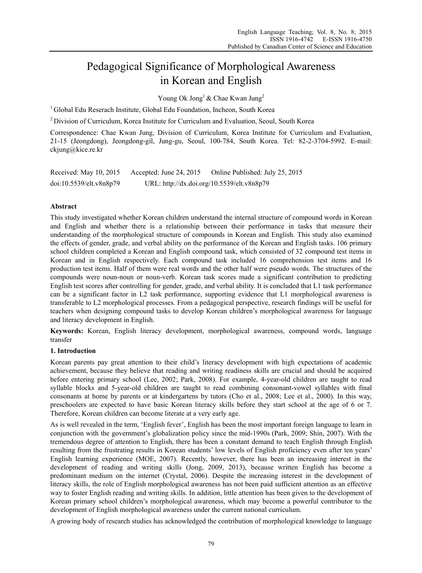# Pedagogical Significance of Morphological Awareness in Korean and English

Young Ok Jong<sup>1</sup> & Chae Kwan Jung<sup>2</sup>

<sup>1</sup> Global Edu Reserach Institute, Global Edu Foundation, Incheon, South Korea

<sup>2</sup> Division of Curriculum, Korea Institute for Curriculum and Evaluation, Seoul, South Korea

Correspondence: Chae Kwan Jung, Division of Curriculum, Korea Institute for Curriculum and Evaluation, 21-15 (Jeongdong), Jeongdong-gil, Jung-gu, Seoul, 100-784, South Korea. Tel: 82-2-3704-5992. E-mail: ckjung@kice.re.kr

| Received: May 10, 2015  | Accepted: June 24, $2015$ | Online Published: July 25, 2015            |
|-------------------------|---------------------------|--------------------------------------------|
| doi:10.5539/elt.v8n8p79 |                           | URL: http://dx.doi.org/10.5539/elt.v8n8p79 |

# **Abstract**

This study investigated whether Korean children understand the internal structure of compound words in Korean and English and whether there is a relationship between their performance in tasks that measure their understanding of the morphological structure of compounds in Korean and English. This study also examined the effects of gender, grade, and verbal ability on the performance of the Korean and English tasks. 106 primary school children completed a Korean and English compound task, which consisted of 32 compound test items in Korean and in English respectively. Each compound task included 16 comprehension test items and 16 production test items. Half of them were real words and the other half were pseudo words. The structures of the compounds were noun-noun or noun-verb. Korean task scores made a significant contribution to predicting English test scores after controlling for gender, grade, and verbal ability. It is concluded that L1 task performance can be a significant factor in L2 task performance, supporting evidence that L1 morphological awareness is transferable to L2 morphological processes. From a pedagogical perspective, research findings will be useful for teachers when designing compound tasks to develop Korean children's morphological awareness for language and literacy development in English.

**Keywords:** Korean, English literacy development, morphological awareness, compound words, language transfer

# **1. Introduction**

Korean parents pay great attention to their child's literacy development with high expectations of academic achievement, because they believe that reading and writing readiness skills are crucial and should be acquired before entering primary school (Lee, 2002; Park, 2008). For example, 4-year-old children are taught to read syllable blocks and 5-year-old children are taught to read combining consonant-vowel syllables with final consonants at home by parents or at kindergartens by tutors (Cho et al., 2008; Lee et al., 2000). In this way, preschoolers are expected to have basic Korean literacy skills before they start school at the age of 6 or 7. Therefore, Korean children can become literate at a very early age.

As is well revealed in the term, 'English fever', English has been the most important foreign language to learn in conjunction with the government's globalization policy since the mid-1990s (Park, 2009; Shin, 2007). With the tremendous degree of attention to English, there has been a constant demand to teach English through English resulting from the frustrating results in Korean students' low levels of English proficiency even after ten years' English learning experience (MOE, 2007). Recently, however, there has been an increasing interest in the development of reading and writing skills (Jong, 2009, 2013), because written English has become a predominant medium on the internet (Crystal, 2006). Despite the increasing interest in the development of literacy skills, the role of English morphological awareness has not been paid sufficient attention as an effective way to foster English reading and writing skills. In addition, little attention has been given to the development of Korean primary school children's morphological awareness, which may become a powerful contributor to the development of English morphological awareness under the current national curriculum.

A growing body of research studies has acknowledged the contribution of morphological knowledge to language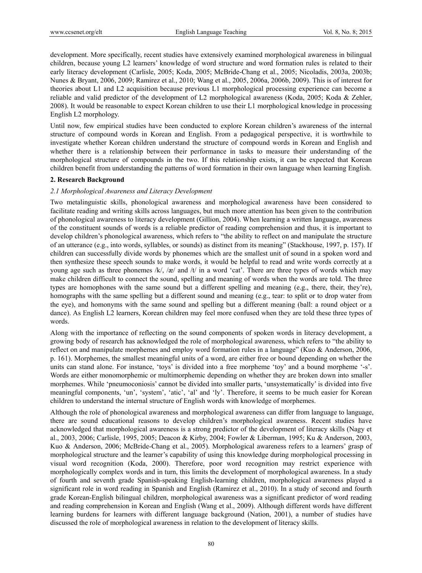development. More specifically, recent studies have extensively examined morphological awareness in bilingual children, because young L2 learners' knowledge of word structure and word formation rules is related to their early literacy development (Carlisle, 2005; Koda, 2005; McBride-Chang et al., 2005; Nicoladis, 2003a, 2003b; Nunes & Bryant, 2006, 2009; Ramirez et al., 2010; Wang et al., 2005, 2006a, 2006b, 2009). This is of interest for theories about L1 and L2 acquisition because previous L1 morphological processing experience can become a reliable and valid predictor of the development of L2 morphological awareness (Koda, 2005; Koda & Zehler, 2008). It would be reasonable to expect Korean children to use their L1 morphological knowledge in processing English L2 morphology.

Until now, few empirical studies have been conducted to explore Korean children's awareness of the internal structure of compound words in Korean and English. From a pedagogical perspective, it is worthwhile to investigate whether Korean children understand the structure of compound words in Korean and English and whether there is a relationship between their performance in tasks to measure their understanding of the morphological structure of compounds in the two. If this relationship exists, it can be expected that Korean children benefit from understanding the patterns of word formation in their own language when learning English.

# **2. Research Background**

## *2.1 Morphological Awareness and Literacy Development*

Two metalinguistic skills, phonological awareness and morphological awareness have been considered to facilitate reading and writing skills across languages, but much more attention has been given to the contribution of phonological awareness to literacy development (Gillion, 2004). When learning a written language, awareness of the constituent sounds of words is a reliable predictor of reading comprehension and thus, it is important to develop children's phonological awareness, which refers to "the ability to reflect on and manipulate the structure of an utterance (e.g., into words, syllables, or sounds) as distinct from its meaning" (Stackhouse, 1997, p. 157). If children can successfully divide words by phonemes which are the smallest unit of sound in a spoken word and then synthesize these speech sounds to make words, it would be helpful to read and write words correctly at a young age such as three phonemes /k/, /æ/ and /t/ in a word 'cat'. There are three types of words which may make children difficult to connect the sound, spelling and meaning of words when the words are told. The three types are homophones with the same sound but a different spelling and meaning (e.g., there, their, they're), homographs with the same spelling but a different sound and meaning (e.g., tear: to split or to drop water from the eye), and homonyms with the same sound and spelling but a different meaning (ball: a round object or a dance). As English L2 learners, Korean children may feel more confused when they are told these three types of words.

Along with the importance of reflecting on the sound components of spoken words in literacy development, a growing body of research has acknowledged the role of morphological awareness, which refers to "the ability to reflect on and manipulate morphemes and employ word formation rules in a language" (Kuo & Anderson, 2006, p. 161). Morphemes, the smallest meaningful units of a word, are either free or bound depending on whether the units can stand alone. For instance, 'toys' is divided into a free morpheme 'toy' and a bound morpheme '-s'. Words are either monomorphemic or multimorphemic depending on whether they are broken down into smaller morphemes. While 'pneumoconiosis' cannot be divided into smaller parts, 'unsystematically' is divided into five meaningful components, 'un', 'system', 'atic', 'al' and 'ly'. Therefore, it seems to be much easier for Korean children to understand the internal structure of English words with knowledge of morphemes.

Although the role of phonological awareness and morphological awareness can differ from language to language, there are sound educational reasons to develop children's morphological awareness. Recent studies have acknowledged that morphological awareness is a strong predictor of the development of literacy skills (Nagy et al., 2003, 2006; Carlisle, 1995, 2005; Deacon & Kirby, 2004; Fowler & Liberman, 1995; Ku & Anderson, 2003, Kuo & Anderson, 2006; McBride-Chang et al., 2005). Morphological awareness refers to a learners' grasp of morphological structure and the learner's capability of using this knowledge during morphological processing in visual word recognition (Koda, 2000). Therefore, poor word recognition may restrict experience with morphologically complex words and in turn, this limits the development of morphological awareness. In a study of fourth and seventh grade Spanish-speaking English-learning children, morphological awareness played a significant role in word reading in Spanish and English (Ramirez et al., 2010). In a study of second and fourth grade Korean-English bilingual children, morphological awareness was a significant predictor of word reading and reading comprehension in Korean and English (Wang et al., 2009). Although different words have different learning burdens for learners with different language background (Nation, 2001), a number of studies have discussed the role of morphological awareness in relation to the development of literacy skills.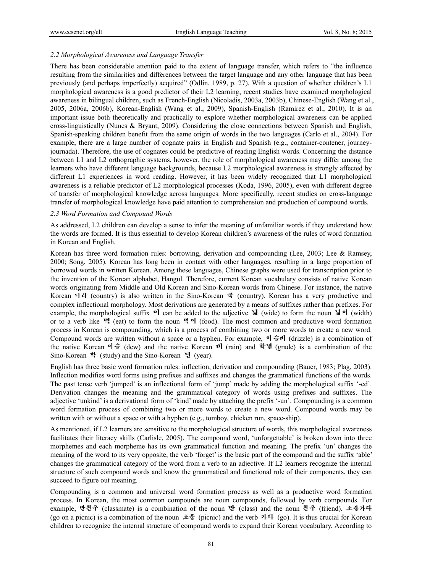# *2.2 Morphological Awareness and Language Transfer*

There has been considerable attention paid to the extent of language transfer, which refers to "the influence resulting from the similarities and differences between the target language and any other language that has been previously (and perhaps imperfectly) acquired" (Odlin, 1989, p. 27). With a question of whether children's L1 morphological awareness is a good predictor of their L2 learning, recent studies have examined morphological awareness in bilingual children, such as French-English (Nicoladis, 2003a, 2003b), Chinese-English (Wang et al., 2005, 2006a, 2006b), Korean-English (Wang et al., 2009), Spanish-English (Ramirez et al., 2010). It is an important issue both theoretically and practically to explore whether morphological awareness can be applied cross-linguistically (Nunes & Bryant, 2009). Considering the close connections between Spanish and English, Spanish-speaking children benefit from the same origin of words in the two languages (Carlo et al., 2004). For example, there are a large number of cognate pairs in English and Spanish (e.g., container-contener, journeyjournada). Therefore, the use of cognates could be predictive of reading English words. Concerning the distance between L1 and L2 orthographic systems, however, the role of morphological awareness may differ among the learners who have different language backgrounds, because L2 morphological awareness is strongly affected by different L1 experiences in word reading. However, it has been widely recognized that L1 morphological awareness is a reliable predictor of L2 morphological processes (Koda, 1996, 2005), even with different degree of transfer of morphological knowledge across languages. More specifically, recent studies on cross-language transfer of morphological knowledge have paid attention to comprehension and production of compound words.

## *2.3 Word Formation and Compound Words*

As addressed, L2 children can develop a sense to infer the meaning of unfamiliar words if they understand how the words are formed. It is thus essential to develop Korean children's awareness of the rules of word formation in Korean and English.

Korean has three word formation rules: borrowing, derivation and compounding (Lee, 2003; Lee & Ramsey, 2000; Song, 2005). Korean has long been in contact with other languages, resulting in a large proportion of borrowed words in written Korean. Among these languages, Chinese graphs were used for transcription prior to the invention of the Korean alphabet, Hangul. Therefore, current Korean vocabulary consists of native Korean words originating from Middle and Old Korean and Sino-Korean words from Chinese. For instance, the native Korean  $H$ <sup>#</sup> (country) is also written in the Sino-Korean  $\vec{F}$  (country). Korean has a very productive and complex inflectional morphology. Most derivations are generated by a means of suffixes rather than prefixes. For example, the morphological suffix <sup>o</sup>l can be added to the adjective  $\ddot{\mathbf{a}}$  (wide) to form the noun  $\ddot{\mathbf{a}}$  ol (width) or to a verb like  $\blacksquare$  (eat) to form the noun  $\blacksquare$  of (food). The most common and productive word formation process in Korean is compounding, which is a process of combining two or more words to create a new word. Compound words are written without a space or a hyphen. For example,  $\bullet$   $\Rightarrow$   $\bullet$  (drizzle) is a combination of the native Korean  $\theta \triangleq$  (dew) and the native Korean  $\theta$  (rain) and  $\dot{\theta}$  (grade) is a combination of the Sino-Korean  $\vec{\Phi}$  (study) and the Sino-Korean  $\vec{\Phi}$  (year).

English has three basic word formation rules: inflection, derivation and compounding (Bauer, 1983; Plag, 2003). Inflection modifies word forms using prefixes and suffixes and changes the grammatical functions of the words. The past tense verb 'jumped' is an inflectional form of 'jump' made by adding the morphological suffix '-ed'. Derivation changes the meaning and the grammatical category of words using prefixes and suffixes. The adjective 'unkind' is a derivational form of 'kind' made by attaching the prefix '-un'. Compounding is a common word formation process of combining two or more words to create a new word. Compound words may be written with or without a space or with a hyphen (e.g., tomboy, chicken run, space-ship).

As mentioned, if L2 learners are sensitive to the morphological structure of words, this morphological awareness facilitates their literacy skills (Carlisle, 2005). The compound word, 'unforgettable' is broken down into three morphemes and each morpheme has its own grammatical function and meaning. The prefix 'un' changes the meaning of the word to its very opposite, the verb 'forget' is the basic part of the compound and the suffix 'able' changes the grammatical category of the word from a verb to an adjective. If L2 learners recognize the internal structure of such compound words and know the grammatical and functional role of their components, they can succeed to figure out meaning.

Compounding is a common and universal word formation process as well as a productive word formation process. In Korean, the most common compounds are noun compounds, followed by verb compounds. For example, 반친구 (classmate) is a combination of the noun 반 (class) and the noun 친구 (friend). 소풍가다 (go on a picnic) is a combination of the noun  $\pm \frac{1}{2}$  (picnic) and the verb  $\pm 1$  (go). It is thus crucial for Korean children to recognize the internal structure of compound words to expand their Korean vocabulary. According to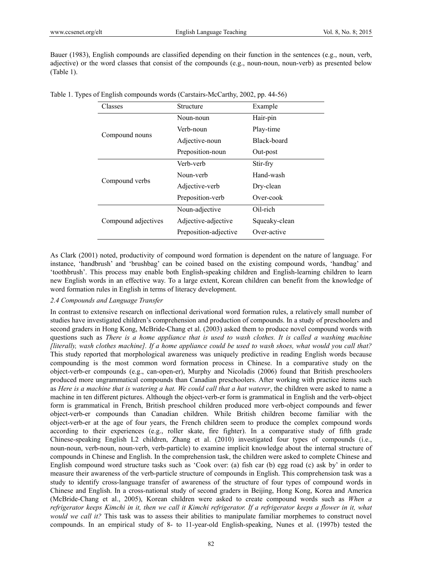Bauer (1983), English compounds are classified depending on their function in the sentences (e.g., noun, verb, adjective) or the word classes that consist of the compounds (e.g., noun-noun, noun-verb) as presented below (Table 1).

| Classes             | Structure             | Example       |
|---------------------|-----------------------|---------------|
|                     | Noun-noun             | Hair-pin      |
| Compound nouns      | Verb-noun             | Play-time     |
|                     | Adjective-noun        | Black-board   |
|                     | Preposition-noun      | Out-post      |
|                     | Verb-verb             | Stir-fry      |
| Compound verbs      | Noun-verb             | Hand-wash     |
|                     | Adjective-verb        | Dry-clean     |
|                     | Preposition-verb      | Over-cook     |
|                     | Noun-adjective        | Oil-rich      |
| Compound adjectives | Adjective-adjective   | Squeaky-clean |
|                     | Preposition-adjective | Over-active   |

Table 1. Types of English compounds words (Carstairs-McCarthy, 2002, pp. 44-56)

As Clark (2001) noted, productivity of compound word formation is dependent on the nature of language. For instance, 'handbrush' and 'brushbag' can be coined based on the existing compound words, 'handbag' and 'toothbrush'. This process may enable both English-speaking children and English-learning children to learn new English words in an effective way. To a large extent, Korean children can benefit from the knowledge of word formation rules in English in terms of literacy development.

## *2.4 Compounds and Language Transfer*

In contrast to extensive research on inflectional derivational word formation rules, a relatively small number of studies have investigated children's comprehension and production of compounds. In a study of preschoolers and second graders in Hong Kong, McBride-Chang et al. (2003) asked them to produce novel compound words with questions such as *There is a home appliance that is used to wash clothes. It is called a washing machine [literally, wash clothes machine]. If a home appliance could be used to wash shoes, what would you call that?* This study reported that morphological awareness was uniquely predictive in reading English words because compounding is the most common word formation process in Chinese. In a comparative study on the object-verb-er compounds (e.g., can-open-er), Murphy and Nicoladis (2006) found that British preschoolers produced more ungrammatical compounds than Canadian preschoolers. After working with practice items such as *Here is a machine that is watering a hat. We could call that a hat waterer*, the children were asked to name a machine in ten different pictures. Although the object-verb-er form is grammatical in English and the verb-object form is grammatical in French, British preschool children produced more verb-object compounds and fewer object-verb-er compounds than Canadian children. While British children become familiar with the object-verb-er at the age of four years, the French children seem to produce the complex compound words according to their experiences (e.g., roller skate, fire fighter). In a comparative study of fifth grade Chinese-speaking English L2 children, Zhang et al. (2010) investigated four types of compounds (i.e., noun-noun, verb-noun, noun-verb, verb-particle) to examine implicit knowledge about the internal structure of compounds in Chinese and English. In the comprehension task, the children were asked to complete Chinese and English compound word structure tasks such as 'Cook over: (a) fish car (b) egg road (c) ask by' in order to measure their awareness of the verb-particle structure of compounds in English. This comprehension task was a study to identify cross-language transfer of awareness of the structure of four types of compound words in Chinese and English. In a cross-national study of second graders in Beijing, Hong Kong, Korea and America (McBride-Chang et al., 2005), Korean children were asked to create compound words such as *When a refrigerator keeps Kimchi in it, then we call it Kimchi refrigerator. If a refrigerator keeps a flower in it, what would we call it?* This task was to assess their abilities to manipulate familiar morphemes to construct novel compounds. In an empirical study of 8- to 11-year-old English-speaking, Nunes et al. (1997b) tested the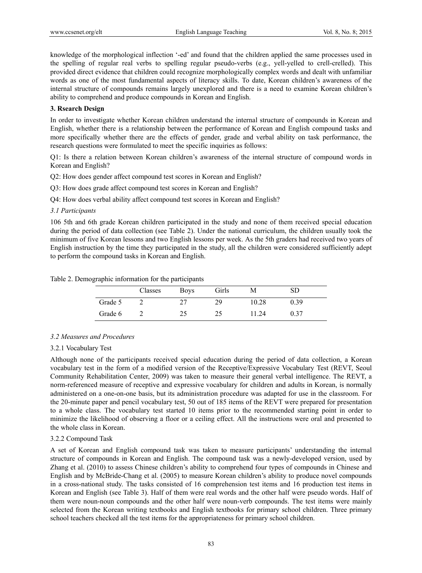knowledge of the morphological inflection '-ed' and found that the children applied the same processes used in the spelling of regular real verbs to spelling regular pseudo-verbs (e.g., yell-yelled to crell-crelled). This provided direct evidence that children could recognize morphologically complex words and dealt with unfamiliar words as one of the most fundamental aspects of literacy skills. To date, Korean children's awareness of the internal structure of compounds remains largely unexplored and there is a need to examine Korean children's ability to comprehend and produce compounds in Korean and English.

# **3. Rsearch Design**

In order to investigate whether Korean children understand the internal structure of compounds in Korean and English, whether there is a relationship between the performance of Korean and English compound tasks and more specifically whether there are the effects of gender, grade and verbal ability on task performance, the research questions were formulated to meet the specific inquiries as follows:

Q1: Is there a relation between Korean children's awareness of the internal structure of compound words in Korean and English?

Q2: How does gender affect compound test scores in Korean and English?

Q3: How does grade affect compound test scores in Korean and English?

Q4: How does verbal ability affect compound test scores in Korean and English?

# *3.1 Participants*

106 5th and 6th grade Korean children participated in the study and none of them received special education during the period of data collection (see Table 2). Under the national curriculum, the children usually took the minimum of five Korean lessons and two English lessons per week. As the 5th graders had received two years of English instruction by the time they participated in the study, all the children were considered sufficiently adept to perform the compound tasks in Korean and English.

| Table 2. Demographic information for the participants |  |  |
|-------------------------------------------------------|--|--|
|                                                       |  |  |

|         | Classes | <b>Boys</b> | Girls | М     | SD   |  |
|---------|---------|-------------|-------|-------|------|--|
| Grade 5 |         |             | 29    | 10.28 | 0.39 |  |
| Grade 6 |         | 25          | 25    | 11.24 | 0.37 |  |

# *3.2 Measures and Procedures*

# 3.2.1 Vocabulary Test

Although none of the participants received special education during the period of data collection, a Korean vocabulary test in the form of a modified version of the Receptive/Expressive Vocabulary Test (REVT, Seoul Community Rehabilitation Center, 2009) was taken to measure their general verbal intelligence. The REVT, a norm-referenced measure of receptive and expressive vocabulary for children and adults in Korean, is normally administered on a one-on-one basis, but its administration procedure was adapted for use in the classroom. For the 20-minute paper and pencil vocabulary test, 50 out of 185 items of the REVT were prepared for presentation to a whole class. The vocabulary test started 10 items prior to the recommended starting point in order to minimize the likelihood of observing a floor or a ceiling effect. All the instructions were oral and presented to the whole class in Korean.

# 3.2.2 Compound Task

A set of Korean and English compound task was taken to measure participants' understanding the internal structure of compounds in Korean and English. The compound task was a newly-developed version, used by Zhang et al. (2010) to assess Chinese children's ability to comprehend four types of compounds in Chinese and English and by McBride-Chang et al. (2005) to measure Korean children's ability to produce novel compounds in a cross-national study. The tasks consisted of 16 comprehension test items and 16 production test items in Korean and English (see Table 3). Half of them were real words and the other half were pseudo words. Half of them were noun-noun compounds and the other half were noun-verb compounds. The test items were mainly selected from the Korean writing textbooks and English textbooks for primary school children. Three primary school teachers checked all the test items for the appropriateness for primary school children.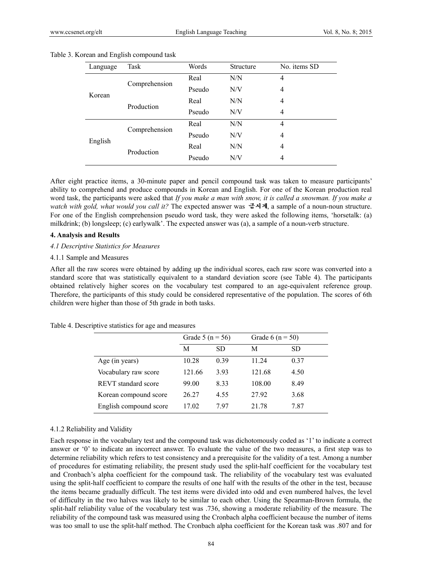| Language | Task          | Words  | Structure | No. items SD   |
|----------|---------------|--------|-----------|----------------|
|          | Comprehension | Real   | N/N       | 4              |
| Korean   |               | Pseudo | N/V       | $\overline{4}$ |
|          | Production    | Real   | N/N       | 4              |
|          |               | Pseudo | N/V       | 4              |
|          | Comprehension | Real   | N/N       | 4              |
|          |               | Pseudo | N/V       | 4              |
| English  | Production    | Real   | N/N       | 4              |
|          |               | Pseudo | N/V       | 4              |

# Table 3. Korean and English compound task

After eight practice items, a 30-minute paper and pencil compound task was taken to measure participants' ability to comprehend and produce compounds in Korean and English. For one of the Korean production real word task, the participants were asked that *If you make a man with snow, it is called a snowman. If you make a*  watch with gold, what would you call it? The expected answer was **금지계**, a sample of a noun-noun structure. For one of the English comprehension pseudo word task, they were asked the following items, 'horsetalk: (a) milkdrink; (b) longsleep; (c) earlywalk'. The expected answer was (a), a sample of a noun-verb structure.

#### **4. Analysis and Results**

#### *4.1 Descriptive Statistics for Measures*

#### 4.1.1 Sample and Measures

After all the raw scores were obtained by adding up the individual scores, each raw score was converted into a standard score that was statistically equivalent to a standard deviation score (see Table 4). The participants obtained relatively higher scores on the vocabulary test compared to an age-equivalent reference group. Therefore, the participants of this study could be considered representative of the population. The scores of 6th children were higher than those of 5th grade in both tasks.

|                            | Grade $5 (n = 56)$ |      | Grade $6 (n = 50)$ |           |  |
|----------------------------|--------------------|------|--------------------|-----------|--|
|                            | М                  | SD   | М                  | <b>SD</b> |  |
| Age (in years)             | 10.28              | 0.39 | 11 24              | 0.37      |  |
| Vocabulary raw score       | 121.66             | 393  | 121.68             | 4.50      |  |
| <b>REVT</b> standard score | 99.00              | 8.33 | 108.00             | 8.49      |  |
| Korean compound score      | 26.27              | 4.55 | 2792               | 3.68      |  |
| English compound score     | 17.02              | 7 97 | 21.78              | 7.87      |  |

#### Table 4. Descriptive statistics for age and measures

#### 4.1.2 Reliability and Validity

Each response in the vocabulary test and the compound task was dichotomously coded as '1' to indicate a correct answer or '0' to indicate an incorrect answer. To evaluate the value of the two measures, a first step was to determine reliability which refers to test consistency and a prerequisite for the validity of a test. Among a number of procedures for estimating reliability, the present study used the split-half coefficient for the vocabulary test and Cronbach's alpha coefficient for the compound task. The reliability of the vocabulary test was evaluated using the split-half coefficient to compare the results of one half with the results of the other in the test, because the items became gradually difficult. The test items were divided into odd and even numbered halves, the level of difficulty in the two halves was likely to be similar to each other. Using the Spearman-Brown formula, the split-half reliability value of the vocabulary test was .736, showing a moderate reliability of the measure. The reliability of the compound task was measured using the Cronbach alpha coefficient because the number of items was too small to use the split-half method. The Cronbach alpha coefficient for the Korean task was .807 and for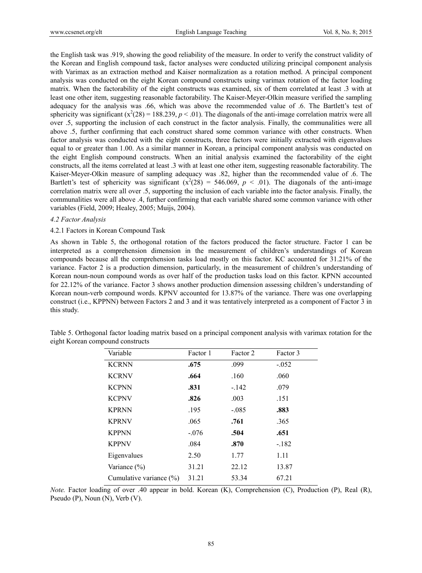the English task was .919, showing the good reliability of the measure. In order to verify the construct validity of the Korean and English compound task, factor analyses were conducted utilizing principal component analysis with Varimax as an extraction method and Kaiser normalization as a rotation method. A principal component analysis was conducted on the eight Korean compound constructs using varimax rotation of the factor loading matrix. When the factorability of the eight constructs was examined, six of them correlated at least .3 with at least one other item, suggesting reasonable factorability. The Kaiser-Meyer-Olkin measure verified the sampling adequacy for the analysis was .66, which was above the recommended value of .6. The Bartlett's test of sphericity was significant  $(x^2(28) = 188.239, p < .01)$ . The diagonals of the anti-image correlation matrix were all over .5, supporting the inclusion of each construct in the factor analysis. Finally, the communalities were all above .5, further confirming that each construct shared some common variance with other constructs. When factor analysis was conducted with the eight constructs, three factors were initially extracted with eigenvalues equal to or greater than 1.00. As a similar manner in Korean, a principal component analysis was conducted on the eight English compound constructs. When an initial analysis examined the factorability of the eight constructs, all the items correlated at least .3 with at least one other item, suggesting reasonable factorability. The Kaiser-Meyer-Olkin measure of sampling adequacy was .82, higher than the recommended value of .6. The Bartlett's test of sphericity was significant  $(x^2(28) = 546.069, p < .01)$ . The diagonals of the anti-image correlation matrix were all over .5, supporting the inclusion of each variable into the factor analysis. Finally, the communalities were all above .4, further confirming that each variable shared some common variance with other variables (Field, 2009; Healey, 2005; Muijs, 2004).

#### *4.2 Factor Analysis*

#### 4.2.1 Factors in Korean Compound Task

As shown in Table 5, the orthogonal rotation of the factors produced the factor structure. Factor 1 can be interpreted as a comprehension dimension in the measurement of children's understandings of Korean compounds because all the comprehension tasks load mostly on this factor. KC accounted for 31.21% of the variance. Factor 2 is a production dimension, particularly, in the measurement of children's understanding of Korean noun-noun compound words as over half of the production tasks load on this factor. KPNN accounted for 22.12% of the variance. Factor 3 shows another production dimension assessing children's understanding of Korean noun-verb compound words. KPNV accounted for 13.87% of the variance. There was one overlapping construct (i.e., KPPNN) between Factors 2 and 3 and it was tentatively interpreted as a component of Factor 3 in this study.

| Variable                   | Factor 1 | Factor 2 | Factor 3 |
|----------------------------|----------|----------|----------|
| <b>KCRNN</b>               | .675     | .099     | $-.052$  |
| <b>KCRNV</b>               | .664     | .160     | .060     |
| <b>KCPNN</b>               | .831     | $-142$   | .079     |
| <b>KCPNV</b>               | .826     | .003     | .151     |
| <b>KPRNN</b>               | .195     | $-.085$  | .883     |
| <b>KPRNV</b>               | .065     | .761     | .365     |
| <b>KPPNN</b>               | $-.076$  | .504     | .651     |
| <b>KPPNV</b>               | .084     | .870     | $-.182$  |
| Eigenvalues                | 2.50     | 1.77     | 1.11     |
| Variance $(\% )$           | 31.21    | 22.12    | 13.87    |
| Cumulative variance $(\%)$ | 31.21    | 53.34    | 67.21    |

Table 5. Orthogonal factor loading matrix based on a principal component analysis with varimax rotation for the eight Korean compound constructs

*Note.* Factor loading of over .40 appear in bold. Korean (K), Comprehension (C), Production (P), Real (R), Pseudo (P), Noun (N), Verb (V).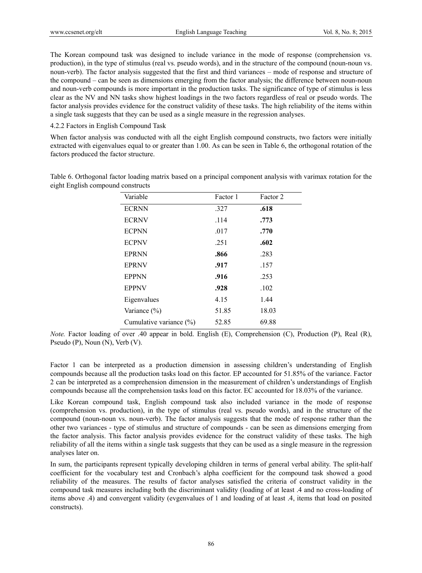The Korean compound task was designed to include variance in the mode of response (comprehension vs. production), in the type of stimulus (real vs. pseudo words), and in the structure of the compound (noun-noun vs. noun-verb). The factor analysis suggested that the first and third variances – mode of response and structure of the compound – can be seen as dimensions emerging from the factor analysis; the difference between noun-noun and noun-verb compounds is more important in the production tasks. The significance of type of stimulus is less clear as the NV and NN tasks show highest loadings in the two factors regardless of real or pseudo words. The factor analysis provides evidence for the construct validity of these tasks. The high reliability of the items within a single task suggests that they can be used as a single measure in the regression analyses.

#### 4.2.2 Factors in English Compound Task

When factor analysis was conducted with all the eight English compound constructs, two factors were initially extracted with eigenvalues equal to or greater than 1.00. As can be seen in Table 6, the orthogonal rotation of the factors produced the factor structure.

| Variable                | Factor 1 | Factor 2 |  |
|-------------------------|----------|----------|--|
| <b>ECRNN</b>            | .327     | .618     |  |
| <b>ECRNV</b>            | .114     | .773     |  |
| <b>ECPNN</b>            | .017     | .770     |  |
| <b>ECPNV</b>            | .251     | .602     |  |
| <b>EPRNN</b>            | .866     | .283     |  |
| <b>EPRNV</b>            | .917     | .157     |  |
| <b>EPPNN</b>            | .916     | .253     |  |
| <b>EPPNV</b>            | .928     | .102     |  |
| Eigenvalues             | 4.15     | 1.44     |  |
| Variance (%)            | 51.85    | 18.03    |  |
| Cumulative variance (%) | 52.85    | 69.88    |  |

Table 6. Orthogonal factor loading matrix based on a principal component analysis with varimax rotation for the eight English compound constructs

*Note.* Factor loading of over .40 appear in bold. English (E), Comprehension (C), Production (P), Real (R), Pseudo (P), Noun (N), Verb (V).

Factor 1 can be interpreted as a production dimension in assessing children's understanding of English compounds because all the production tasks load on this factor. EP accounted for 51.85% of the variance. Factor 2 can be interpreted as a comprehension dimension in the measurement of children's understandings of English compounds because all the comprehension tasks load on this factor. EC accounted for 18.03% of the variance.

Like Korean compound task, English compound task also included variance in the mode of response (comprehension vs. production), in the type of stimulus (real vs. pseudo words), and in the structure of the compound (noun-noun vs. noun-verb). The factor analysis suggests that the mode of response rather than the other two variances - type of stimulus and structure of compounds - can be seen as dimensions emerging from the factor analysis. This factor analysis provides evidence for the construct validity of these tasks. The high reliability of all the items within a single task suggests that they can be used as a single measure in the regression analyses later on.

In sum, the participants represent typically developing children in terms of general verbal ability. The split-half coefficient for the vocabulary test and Cronbach's alpha coefficient for the compound task showed a good reliability of the measures. The results of factor analyses satisfied the criteria of construct validity in the compound task measures including both the discriminant validity (loading of at least .4 and no cross-loading of items above .4) and convergent validity (evgenvalues of 1 and loading of at least .4, items that load on posited constructs).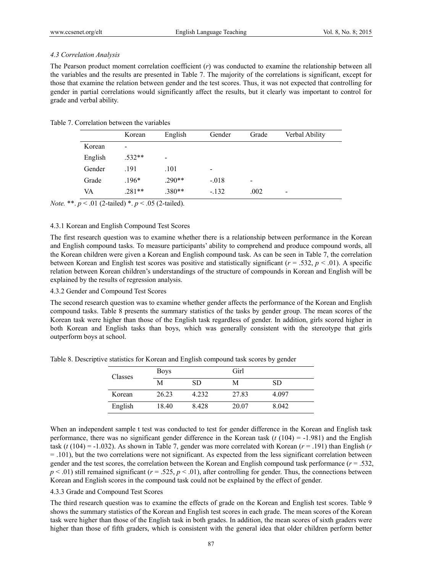# *4.3 Correlation Analysis*

The Pearson product moment correlation coefficient (*r*) was conducted to examine the relationship between all the variables and the results are presented in Table 7. The majority of the correlations is significant, except for those that examine the relation between gender and the test scores. Thus, it was not expected that controlling for gender in partial correlations would significantly affect the results, but it clearly was important to control for grade and verbal ability.

## Table 7. Correlation between the variables

|         | Korean   | English  | Gender  | Grade | Verbal Ability           |
|---------|----------|----------|---------|-------|--------------------------|
| Korean  | -        |          |         |       |                          |
| English | $.532**$ | -        |         |       |                          |
| Gender  | .191     | .101     | -       |       |                          |
| Grade   | $.196*$  | $.290**$ | $-.018$ | -     |                          |
| VA      | $.281**$ | $.380**$ | $-.132$ | .002  | $\overline{\phantom{0}}$ |

*Note.* \*\*. *p* < .01 (2-tailed) \*. *p* < .05 (2-tailed).

# 4.3.1 Korean and English Compound Test Scores

The first research question was to examine whether there is a relationship between performance in the Korean and English compound tasks. To measure participants' ability to comprehend and produce compound words, all the Korean children were given a Korean and English compound task. As can be seen in Table 7, the correlation between Korean and English test scores was positive and statistically significant ( $r = .532$ ,  $p < .01$ ). A specific relation between Korean children's understandings of the structure of compounds in Korean and English will be explained by the results of regression analysis.

# 4.3.2 Gender and Compound Test Scores

The second research question was to examine whether gender affects the performance of the Korean and English compound tasks. Table 8 presents the summary statistics of the tasks by gender group. The mean scores of the Korean task were higher than those of the English task regardless of gender. In addition, girls scored higher in both Korean and English tasks than boys, which was generally consistent with the stereotype that girls outperform boys at school.

Table 8. Descriptive statistics for Korean and English compound task scores by gender

| Classes | <b>Boys</b> |         | Girl  |         |  |
|---------|-------------|---------|-------|---------|--|
|         | M           | SD      | М     | SD      |  |
| Korean  | 26.23       | 4 2 3 2 | 27.83 | 4 0 9 7 |  |
| English | 18.40       | 8.428   | 20.07 | 8.042   |  |

When an independent sample t test was conducted to test for gender difference in the Korean and English task performance, there was no significant gender difference in the Korean task (*t* (104) = -1.981) and the English task ( $t$  (104) = -1.032). As shown in Table 7, gender was more correlated with Korean ( $r = .191$ ) than English ( $r$ = .101), but the two correlations were not significant. As expected from the less significant correlation between gender and the test scores, the correlation between the Korean and English compound task performance (*r* = .532,  $p < .01$ ) still remained significant ( $r = .525$ ,  $p < .01$ ), after controlling for gender. Thus, the connections between Korean and English scores in the compound task could not be explained by the effect of gender.

# 4.3.3 Grade and Compound Test Scores

The third research question was to examine the effects of grade on the Korean and English test scores. Table 9 shows the summary statistics of the Korean and English test scores in each grade. The mean scores of the Korean task were higher than those of the English task in both grades. In addition, the mean scores of sixth graders were higher than those of fifth graders, which is consistent with the general idea that older children perform better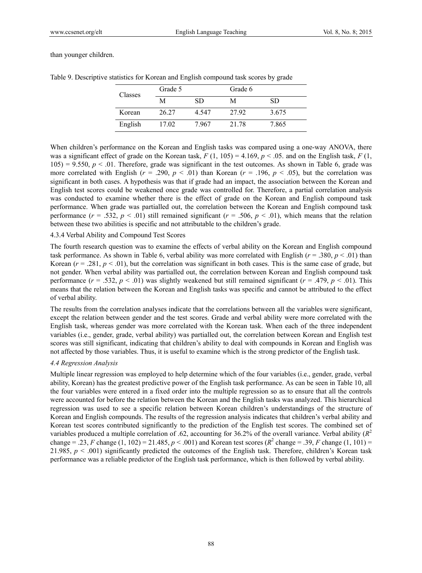## than younger children.

| Classes | Grade 5 |       | Grade 6 |       |
|---------|---------|-------|---------|-------|
|         | М       | SD    | M       | SD    |
| Korean  | 26 27   | 4.547 | 2792    | 3.675 |
| English | 17.02   | 7 967 | 21.78   | 7.865 |

Table 9. Descriptive statistics for Korean and English compound task scores by grade

When children's performance on the Korean and English tasks was compared using a one-way ANOVA, there was a significant effect of grade on the Korean task,  $F(1, 105) = 4.169$ ,  $p < .05$ . and on the English task,  $F(1, 105) = 4.169$ ,  $p < .05$ . 105) = 9.550,  $p < 0.01$ . Therefore, grade was significant in the test outcomes. As shown in Table 6, grade was more correlated with English ( $r = .290$ ,  $p < .01$ ) than Korean ( $r = .196$ ,  $p < .05$ ), but the correlation was significant in both cases. A hypothesis was that if grade had an impact, the association between the Korean and English test scores could be weakened once grade was controlled for. Therefore, a partial correlation analysis was conducted to examine whether there is the effect of grade on the Korean and English compound task performance. When grade was partialled out, the correlation between the Korean and English compound task performance  $(r = .532, p < .01)$  still remained significant  $(r = .506, p < .01)$ , which means that the relation between these two abilities is specific and not attributable to the children's grade.

#### 4.3.4 Verbal Ability and Compound Test Scores

The fourth research question was to examine the effects of verbal ability on the Korean and English compound task performance. As shown in Table 6, verbal ability was more correlated with English  $(r = .380, p < .01)$  than Korean  $(r = .281, p < .01)$ , but the correlation was significant in both cases. This is the same case of grade, but not gender. When verbal ability was partialled out, the correlation between Korean and English compound task performance  $(r = .532, p < .01)$  was slightly weakened but still remained significant  $(r = .479, p < .01)$ . This means that the relation between the Korean and English tasks was specific and cannot be attributed to the effect of verbal ability.

The results from the correlation analyses indicate that the correlations between all the variables were significant, except the relation between gender and the test scores. Grade and verbal ability were more correlated with the English task, whereas gender was more correlated with the Korean task. When each of the three independent variables (i.e., gender, grade, verbal ability) was partialled out, the correlation between Korean and English test scores was still significant, indicating that children's ability to deal with compounds in Korean and English was not affected by those variables. Thus, it is useful to examine which is the strong predictor of the English task.

#### *4.4 Regression Analysis*

Multiple linear regression was employed to help determine which of the four variables (i.e., gender, grade, verbal ability, Korean) has the greatest predictive power of the English task performance. As can be seen in Table 10, all the four variables were entered in a fixed order into the multiple regression so as to ensure that all the controls were accounted for before the relation between the Korean and the English tasks was analyzed. This hierarchical regression was used to see a specific relation between Korean children's understandings of the structure of Korean and English compounds. The results of the regression analysis indicates that children's verbal ability and Korean test scores contributed significantly to the prediction of the English test scores. The combined set of variables produced a multiple correlation of .62, accounting for 36.2% of the overall variance. Verbal ability  $(R^2)$ change = .23, *F* change (1, 102) = 21.485,  $p < .001$ ) and Korean test scores ( $R^2$  change = .39, *F* change (1, 101) = 21.985,  $p < .001$ ) significantly predicted the outcomes of the English task. Therefore, children's Korean task performance was a reliable predictor of the English task performance, which is then followed by verbal ability.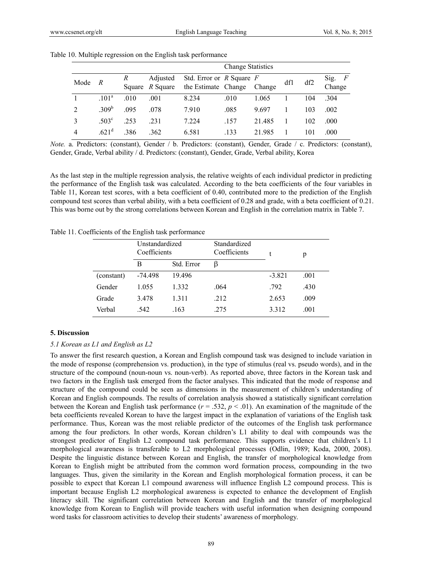|                |                   |      |                               |                                                     | <b>Change Statistics</b> |        |     |     |                    |
|----------------|-------------------|------|-------------------------------|-----------------------------------------------------|--------------------------|--------|-----|-----|--------------------|
| Mode           | $\overline{R}$    | R    | Adjusted<br>Square $R$ Square | Std. Error or $R$ Square $F$<br>the Estimate Change |                          | Change | df1 | df2 | Sig. $F$<br>Change |
|                | .101 <sup>a</sup> | .010 | .001                          | 8.234                                               | .010                     | 1.065  |     | 104 | .304               |
| $\overline{2}$ | .309 <sup>b</sup> | 095  | .078                          | 7.910                                               | .085                     | 9.697  |     | 103 | .002               |
| 3              | $503^{\circ}$     | .253 | .231                          | 7.224                                               | .157                     | 21.485 |     | 102 | .000               |
| 4              | $621^{\rm d}$     | 386  | .362                          | 6.581                                               | .133                     | 21 985 |     | 101 | .000               |

Table 10. Multiple regression on the English task performance

*Note.* a. Predictors: (constant), Gender / b. Predictors: (constant), Gender, Grade / c. Predictors: (constant), Gender, Grade, Verbal ability / d. Predictors: (constant), Gender, Grade, Verbal ability, Korea

As the last step in the multiple regression analysis, the relative weights of each individual predictor in predicting the performance of the English task was calculated. According to the beta coefficients of the four variables in Table 11, Korean test scores, with a beta coefficient of 0.40, contributed more to the prediction of the English compound test scores than verbal ability, with a beta coefficient of 0.28 and grade, with a beta coefficient of 0.21. This was borne out by the strong correlations between Korean and English in the correlation matrix in Table 7.

Table 11. Coefficients of the English task performance

|            | Unstandardized<br>Coefficients |            | Standardized<br>Coefficients |          | p    |
|------------|--------------------------------|------------|------------------------------|----------|------|
|            | В                              | Std. Error | B                            |          |      |
| (constant) | $-74.498$                      | 19.496     |                              | $-3.821$ | .001 |
| Gender     | 1.055                          | 1.332      | .064                         | .792     | .430 |
| Grade      | 3.478                          | 1.311      | .212                         | 2.653    | .009 |
| Verbal     | .542                           | .163       | .275                         | 3.312    | .001 |

## **5. Discussion**

#### *5.1 Korean as L1 and English as L2*

To answer the first research question, a Korean and English compound task was designed to include variation in the mode of response (comprehension vs. production), in the type of stimulus (real vs. pseudo words), and in the structure of the compound (noun-noun vs. noun-verb). As reported above, three factors in the Korean task and two factors in the English task emerged from the factor analyses. This indicated that the mode of response and structure of the compound could be seen as dimensions in the measurement of children's understanding of Korean and English compounds. The results of correlation analysis showed a statistically significant correlation between the Korean and English task performance  $(r = .532, p < .01)$ . An examination of the magnitude of the beta coefficients revealed Korean to have the largest impact in the explanation of variations of the English task performance. Thus, Korean was the most reliable predictor of the outcomes of the English task performance among the four predictors. In other words, Korean children's L1 ability to deal with compounds was the strongest predictor of English L2 compound task performance. This supports evidence that children's L1 morphological awareness is transferable to L2 morphological processes (Odlin, 1989; Koda, 2000, 2008). Despite the linguistic distance between Korean and English, the transfer of morphological knowledge from Korean to English might be attributed from the common word formation process, compounding in the two languages. Thus, given the similarity in the Korean and English morphological formation process, it can be possible to expect that Korean L1 compound awareness will influence English L2 compound process. This is important because English L2 morphological awareness is expected to enhance the development of English literacy skill. The significant correlation between Korean and English and the transfer of morphological knowledge from Korean to English will provide teachers with useful information when designing compound word tasks for classroom activities to develop their students' awareness of morphology.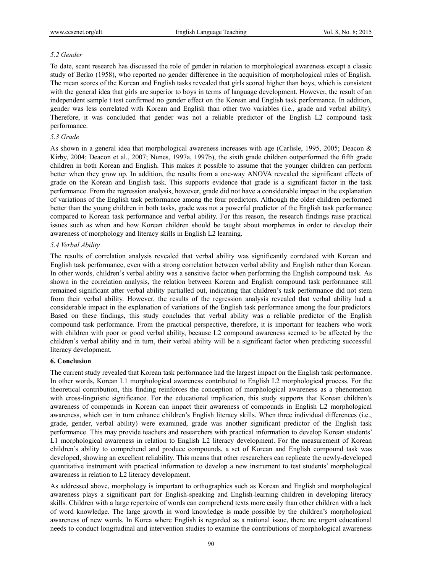## *5.2 Gender*

To date, scant research has discussed the role of gender in relation to morphological awareness except a classic study of Berko (1958), who reported no gender difference in the acquisition of morphological rules of English. The mean scores of the Korean and English tasks revealed that girls scored higher than boys, which is consistent with the general idea that girls are superior to boys in terms of language development. However, the result of an independent sample t test confirmed no gender effect on the Korean and English task performance. In addition, gender was less correlated with Korean and English than other two variables (i.e., grade and verbal ability). Therefore, it was concluded that gender was not a reliable predictor of the English L2 compound task performance.

## *5.3 Grade*

As shown in a general idea that morphological awareness increases with age (Carlisle, 1995, 2005; Deacon & Kirby, 2004; Deacon et al., 2007; Nunes, 1997a, 1997b), the sixth grade children outperformed the fifth grade children in both Korean and English. This makes it possible to assume that the younger children can perform better when they grow up. In addition, the results from a one-way ANOVA revealed the significant effects of grade on the Korean and English task. This supports evidence that grade is a significant factor in the task performance. From the regression analysis, however, grade did not have a considerable impact in the explanation of variations of the English task performance among the four predictors. Although the older children performed better than the young children in both tasks, grade was not a powerful predictor of the English task performance compared to Korean task performance and verbal ability. For this reason, the research findings raise practical issues such as when and how Korean children should be taught about morphemes in order to develop their awareness of morphology and literacy skills in English L2 learning.

## *5.4 Verbal Ability*

The results of correlation analysis revealed that verbal ability was significantly correlated with Korean and English task performance, even with a strong correlation between verbal ability and English rather than Korean. In other words, children's verbal ability was a sensitive factor when performing the English compound task. As shown in the correlation analysis, the relation between Korean and English compound task performance still remained significant after verbal ability partialled out, indicating that children's task performance did not stem from their verbal ability. However, the results of the regression analysis revealed that verbal ability had a considerable impact in the explanation of variations of the English task performance among the four predictors. Based on these findings, this study concludes that verbal ability was a reliable predictor of the English compound task performance. From the practical perspective, therefore, it is important for teachers who work with children with poor or good verbal ability, because L2 compound awareness seemed to be affected by the children's verbal ability and in turn, their verbal ability will be a significant factor when predicting successful literacy development.

#### **6. Conclusion**

The current study revealed that Korean task performance had the largest impact on the English task performance. In other words, Korean L1 morphological awareness contributed to English L2 morphological process. For the theoretical contribution, this finding reinforces the conception of morphological awareness as a phenomenon with cross-linguistic significance. For the educational implication, this study supports that Korean children's awareness of compounds in Korean can impact their awareness of compounds in English L2 morphological awareness, which can in turn enhance children's English literacy skills. When three individual differences (i.e., grade, gender, verbal ability) were examined, grade was another significant predictor of the English task performance. This may provide teachers and researchers with practical information to develop Korean students' L1 morphological awareness in relation to English L2 literacy development. For the measurement of Korean children's ability to comprehend and produce compounds, a set of Korean and English compound task was developed, showing an excellent reliability. This means that other researchers can replicate the newly-developed quantitative instrument with practical information to develop a new instrument to test students' morphological awareness in relation to L2 literacy development.

As addressed above, morphology is important to orthographies such as Korean and English and morphological awareness plays a significant part for English-speaking and English-learning children in developing literacy skills. Children with a large repertoire of words can comprehend texts more easily than other children with a lack of word knowledge. The large growth in word knowledge is made possible by the children's morphological awareness of new words. In Korea where English is regarded as a national issue, there are urgent educational needs to conduct longitudinal and intervention studies to examine the contributions of morphological awareness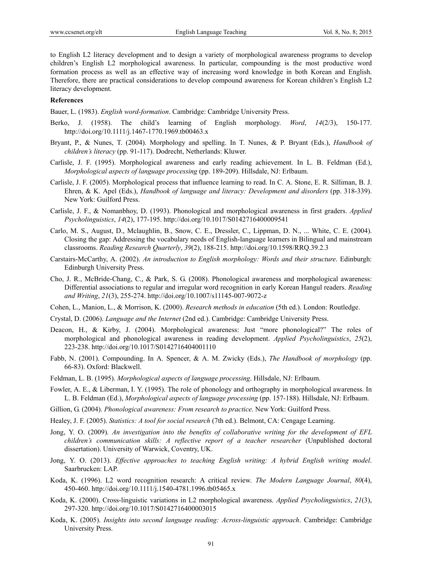to English L2 literacy development and to design a variety of morphological awareness programs to develop children's English L2 morphological awareness. In particular, compounding is the most productive word formation process as well as an effective way of increasing word knowledge in both Korean and English. Therefore, there are practical considerations to develop compound awareness for Korean children's English L2 literacy development.

## **References**

Bauer, L. (1983). *English word-formation*. Cambridge: Cambridge University Press.

- Berko, J. (1958). The child's learning of English morphology. *Word*, *14*(2/3), 150-177. http://doi.org/10.1111/j.1467-1770.1969.tb00463.x
- Bryant, P., & Nunes, T. (2004). Morphology and spelling. In T. Nunes, & P. Bryant (Eds.), *Handbook of children's literacy* (pp. 91-117). Dodrecht, Netherlands: Kluwer.
- Carlisle, J. F. (1995). Morphological awareness and early reading achievement. In L. B. Feldman (Ed.), *Morphological aspects of language processing* (pp. 189-209). Hillsdale, NJ: Erlbaum.
- Carlisle, J. F. (2005). Morphological process that influence learning to read. In C. A. Stone, E. R. Silliman, B. J. Ehren, & K. Apel (Eds.), *Handbook of language and literacy: Development and disorders* (pp. 318-339). New York: Guilford Press.
- Carlisle, J. F., & Nomanbhoy, D. (1993). Phonological and morphological awareness in first graders. *Applied Psycholinguistics*, *14*(2), 177-195. http://doi.org/10.1017/S0142716400009541
- Carlo, M. S., August, D., Mclaughlin, B., Snow, C. E., Dressler, C., Lippman, D. N., ... White, C. E. (2004). Closing the gap: Addressing the vocabulary needs of English-language learners in Bilingual and mainstream classrooms. *Reading Research Quarterly*, *39*(2), 188-215. http://doi.org/10.1598/RRQ.39.2.3
- Carstairs-McCarthy, A. (2002). *An introduction to English morphology: Words and their structure*. Edinburgh: Edinburgh University Press.
- Cho, J. R., McBride-Chang, C., & Park, S. G. (2008). Phonological awareness and morphological awareness: Differential associations to regular and irregular word recognition in early Korean Hangul readers. *Reading and Writing*, *21*(3), 255-274. http://doi.org/10.1007/s11145-007-9072-z
- Cohen, L., Manion, L., & Morrison, K. (2000). *Research methods in education* (5th ed.). London: Routledge.
- Crystal, D. (2006). *Language and the Internet* (2nd ed.). Cambridge: Cambridge University Press.
- Deacon, H., & Kirby, J. (2004). Morphological awareness: Just "more phonological?" The roles of morphological and phonological awareness in reading development. *Applied Psycholinguistics*, *25*(2), 223-238. http://doi.org/10.1017/S0142716404001110
- Fabb, N. (2001). Compounding. In A. Spencer, & A. M. Zwicky (Eds.), *The Handbook of morphology* (pp. 66-83). Oxford: Blackwell.
- Feldman, L. B. (1995). *Morphological aspects of language processing*. Hillsdale, NJ: Erlbaum.
- Fowler, A. E., & Liberman, I. Y. (1995). The role of phonology and orthography in morphological awareness. In L. B. Feldman (Ed.), *Morphological aspects of language processing* (pp. 157-188). Hillsdale, NJ: Erlbaum.
- Gillion, G. (2004). *Phonological awareness: From research to practice*. New York: Guilford Press.
- Healey, J. F. (2005). *Statistics: A tool for social research* (7th ed.). Belmont, CA: Cengage Learning.
- Jong, Y. O. (2009). *An investigation into the benefits of collaborative writing for the development of EFL children's communication skills: A reflective report of a teacher researcher* (Unpublished doctoral dissertation). University of Warwick, Coventry, UK.
- Jong, Y. O. (2013). *Effective approaches to teaching English writing: A hybrid English writing model*. Saarbrucken: LAP.
- Koda, K. (1996). L2 word recognition research: A critical review. *The Modern Language Journal*, *80*(4), 450-460. http://doi.org/10.1111/j.1540-4781.1996.tb05465.x
- Koda, K. (2000). Cross-linguistic variations in L2 morphological awareness. *Applied Psycholinguistics*, *21*(3), 297-320. http://doi.org/10.1017/S0142716400003015
- Koda, K. (2005). *Insights into second language reading: Across-linguistic approach*. Cambridge: Cambridge University Press.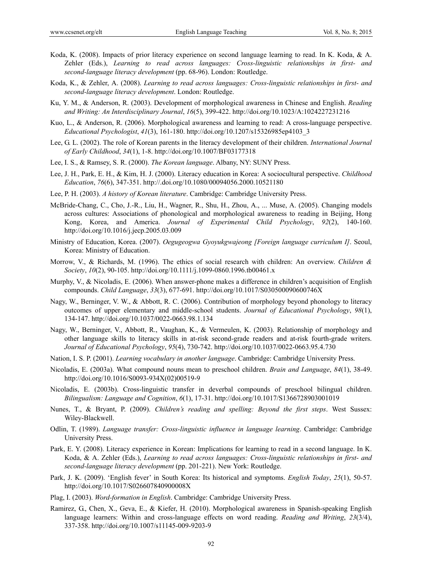- Koda, K. (2008). Impacts of prior literacy experience on second language learning to read. In K. Koda, & A. Zehler (Eds.), *Learning to read across languages: Cross-linguistic relationships in first- and second-language literacy development* (pp. 68-96). London: Routledge.
- Koda, K., & Zehler, A. (2008). *Learning to read across languages: Cross-linguistic relationships in first- and second-language literacy development*. London: Routledge.
- Ku, Y. M., & Anderson, R. (2003). Development of morphological awareness in Chinese and English. *Reading and Writing: An Interdisciplinary Journal*, *16*(5), 399-422. http://doi.org/10.1023/A:1024227231216
- Kuo, L., & Anderson, R. (2006). Morphological awareness and learning to read: A cross-language perspective. *Educational Psychologist*, *41*(3), 161-180. http://doi.org/10.1207/s15326985ep4103\_3
- Lee, G. L. (2002). The role of Korean parents in the literacy development of their children. *International Journal of Early Childhood*, *34*(1), 1-8. http://doi.org/10.1007/BF03177318
- Lee, I. S., & Ramsey, S. R. (2000). *The Korean language*. Albany, NY: SUNY Press.
- Lee, J. H., Park, E. H., & Kim, H. J. (2000). Literacy education in Korea: A sociocultural perspective. *Childhood Education*, *76*(6), 347-351. http://.doi.org/10.1080/00094056.2000.10521180
- Lee, P. H. (2003). *A history of Korean literature*. Cambridge: Cambridge University Press.
- McBride-Chang, C., Cho, J.-R., Liu, H., Wagner, R., Shu, H., Zhou, A., ... Muse, A. (2005). Changing models across cultures: Associations of phonological and morphological awareness to reading in Beijing, Hong Kong, Korea, and America. *Journal of Experimental Child Psychology*, *92*(2), 140-160. http://doi.org/10.1016/j.jecp.2005.03.009
- Ministry of Education, Korea. (2007). *Oegugeogwa Gyoyukgwajeong [Foreign language curriculum I]*. Seoul, Korea: Ministry of Education.
- Morrow, V., & Richards, M. (1996). The ethics of social research with children: An overview. *Children & Society*, *10*(2), 90-105. http://doi.org/10.1111/j.1099-0860.1996.tb00461.x
- Murphy, V., & Nicoladis, E. (2006). When answer-phone makes a difference in children's acquisition of English compounds. *Child Language*, *33*(3), 677-691. http://doi.org/10.1017/S030500090600746X
- Nagy, W., Berninger, V. W., & Abbott, R. C. (2006). Contribution of morphology beyond phonology to literacy outcomes of upper elementary and middle-school students. *Journal of Educational Psychology*, *98*(1), 134-147. http://doi.org/10.1037/0022-0663.98.1.134
- Nagy, W., Berninger, V., Abbott, R., Vaughan, K., & Vermeulen, K. (2003). Relationship of morphology and other language skills to literacy skills in at-risk second-grade readers and at-risk fourth-grade writers. *Journal of Educational Psychology*, *95*(4), 730-742. http://doi.org/10.1037/0022-0663.95.4.730
- Nation, I. S. P. (2001). *Learning vocabulary in another language*. Cambridge: Cambridge University Press.
- Nicoladis, E. (2003a). What compound nouns mean to preschool children. *Brain and Language*, *84*(1), 38-49. http://doi.org/10.1016/S0093-934X(02)00519-9
- Nicoladis, E. (2003b). Cross-linguistic transfer in deverbal compounds of preschool bilingual children. *Bilingualism: Language and Cognition*, *6*(1), 17-31. http://doi.org/10.1017/S1366728903001019
- Nunes, T., & Bryant, P. (2009). *Children's reading and spelling: Beyond the first steps*. West Sussex: Wiley-Blackwell.
- Odlin, T. (1989). *Language transfer: Cross-linguistic influence in language learning*. Cambridge: Cambridge University Press.
- Park, E. Y. (2008). Literacy experience in Korean: Implications for learning to read in a second language. In K. Koda, & A. Zehler (Eds.), *Learning to read across languages: Cross-linguistic relationships in first- and second-language literacy development* (pp. 201-221). New York: Routledge.
- Park, J. K. (2009). 'English fever' in South Korea: Its historical and symptoms. *English Today*, *25*(1), 50-57. http://doi.org/10.1017/S026607840900008X
- Plag, I. (2003). *Word-formation in English*. Cambridge: Cambridge University Press.
- Ramirez, G., Chen, X., Geva, E., & Kiefer, H. (2010). Morphological awareness in Spanish-speaking English language learners: Within and cross-language effects on word reading. *Reading and Writing*, *23*(3/4), 337-358. http://doi.org/10.1007/s11145-009-9203-9